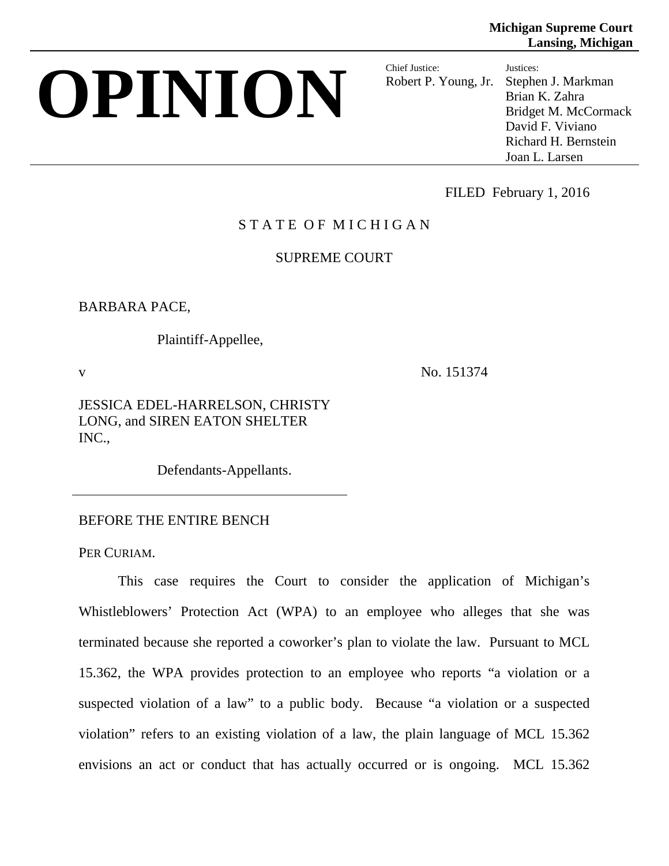# **OPINION** Chief Justice:

Robert P. Young, Jr. Justices: Stephen J. Markman Brian K. Zahra Bridget M. McCormack David F. Viviano Richard H. Bernstein Joan L. Larsen

FILED February 1, 2016

# STATE OF MICHIGAN

# SUPREME COURT

BARBARA PACE,

Plaintiff-Appellee,

v No. 151374

JESSICA EDEL-HARRELSON, CHRISTY LONG, and SIREN EATON SHELTER INC.,

Defendants-Appellants.

## BEFORE THE ENTIRE BENCH

PER CURIAM.

This case requires the Court to consider the application of Michigan's Whistleblowers' Protection Act (WPA) to an employee who alleges that she was terminated because she reported a coworker's plan to violate the law. Pursuant to MCL 15.362, the WPA provides protection to an employee who reports "a violation or a suspected violation of a law" to a public body. Because "a violation or a suspected violation" refers to an existing violation of a law, the plain language of MCL 15.362 envisions an act or conduct that has actually occurred or is ongoing. MCL 15.362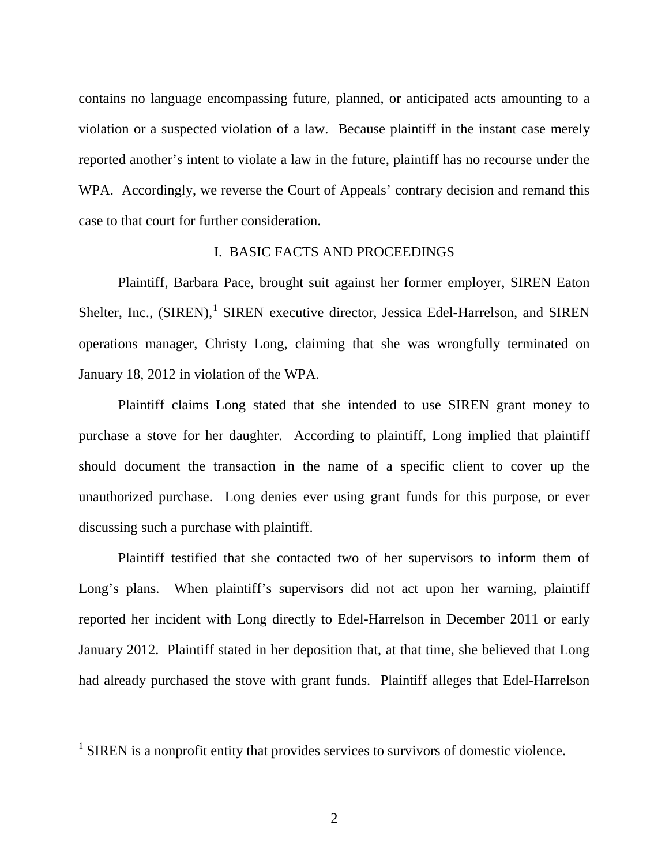contains no language encompassing future, planned, or anticipated acts amounting to a violation or a suspected violation of a law. Because plaintiff in the instant case merely reported another's intent to violate a law in the future, plaintiff has no recourse under the WPA. Accordingly, we reverse the Court of Appeals' contrary decision and remand this case to that court for further consideration.

### I. BASIC FACTS AND PROCEEDINGS

Plaintiff, Barbara Pace, brought suit against her former employer, SIREN Eaton Shelter, Inc.,  $(SIREN)$ ,  $I$  SIREN executive director, Jessica Edel-Harrelson, and SIREN operations manager, Christy Long, claiming that she was wrongfully terminated on January 18, 2012 in violation of the WPA.

Plaintiff claims Long stated that she intended to use SIREN grant money to purchase a stove for her daughter. According to plaintiff, Long implied that plaintiff should document the transaction in the name of a specific client to cover up the unauthorized purchase. Long denies ever using grant funds for this purpose, or ever discussing such a purchase with plaintiff.

Plaintiff testified that she contacted two of her supervisors to inform them of Long's plans. When plaintiff's supervisors did not act upon her warning, plaintiff reported her incident with Long directly to Edel-Harrelson in December 2011 or early January 2012. Plaintiff stated in her deposition that, at that time, she believed that Long had already purchased the stove with grant funds. Plaintiff alleges that Edel-Harrelson

<span id="page-1-0"></span> $1$  SIREN is a nonprofit entity that provides services to survivors of domestic violence.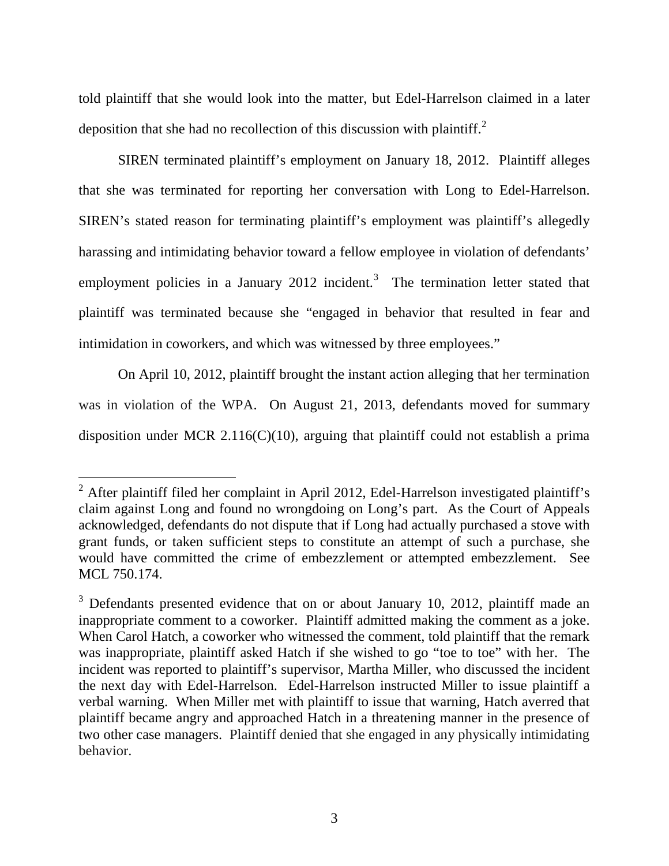told plaintiff that she would look into the matter, but Edel-Harrelson claimed in a later deposition that she had no recollection of this discussion with plaintiff.<sup>[2](#page-2-0)</sup>

SIREN terminated plaintiff's employment on January 18, 2012. Plaintiff alleges that she was terminated for reporting her conversation with Long to Edel-Harrelson. SIREN's stated reason for terminating plaintiff's employment was plaintiff's allegedly harassing and intimidating behavior toward a fellow employee in violation of defendants' employment policies in a January 2012 incident.<sup>[3](#page-2-1)</sup> The termination letter stated that plaintiff was terminated because she "engaged in behavior that resulted in fear and intimidation in coworkers, and which was witnessed by three employees."

On April 10, 2012, plaintiff brought the instant action alleging that her termination was in violation of the WPA. On August 21, 2013, defendants moved for summary disposition under MCR 2.116(C)(10), arguing that plaintiff could not establish a prima

<span id="page-2-0"></span><sup>&</sup>lt;sup>2</sup> After plaintiff filed her complaint in April 2012, Edel-Harrelson investigated plaintiff's claim against Long and found no wrongdoing on Long's part. As the Court of Appeals acknowledged, defendants do not dispute that if Long had actually purchased a stove with grant funds, or taken sufficient steps to constitute an attempt of such a purchase, she would have committed the crime of embezzlement or attempted embezzlement. See MCL 750.174.

<span id="page-2-1"></span><sup>&</sup>lt;sup>3</sup> Defendants presented evidence that on or about January 10, 2012, plaintiff made an inappropriate comment to a coworker. Plaintiff admitted making the comment as a joke. When Carol Hatch, a coworker who witnessed the comment, told plaintiff that the remark was inappropriate, plaintiff asked Hatch if she wished to go "toe to toe" with her. The incident was reported to plaintiff's supervisor, Martha Miller, who discussed the incident the next day with Edel-Harrelson. Edel-Harrelson instructed Miller to issue plaintiff a verbal warning. When Miller met with plaintiff to issue that warning, Hatch averred that plaintiff became angry and approached Hatch in a threatening manner in the presence of two other case managers. Plaintiff denied that she engaged in any physically intimidating behavior.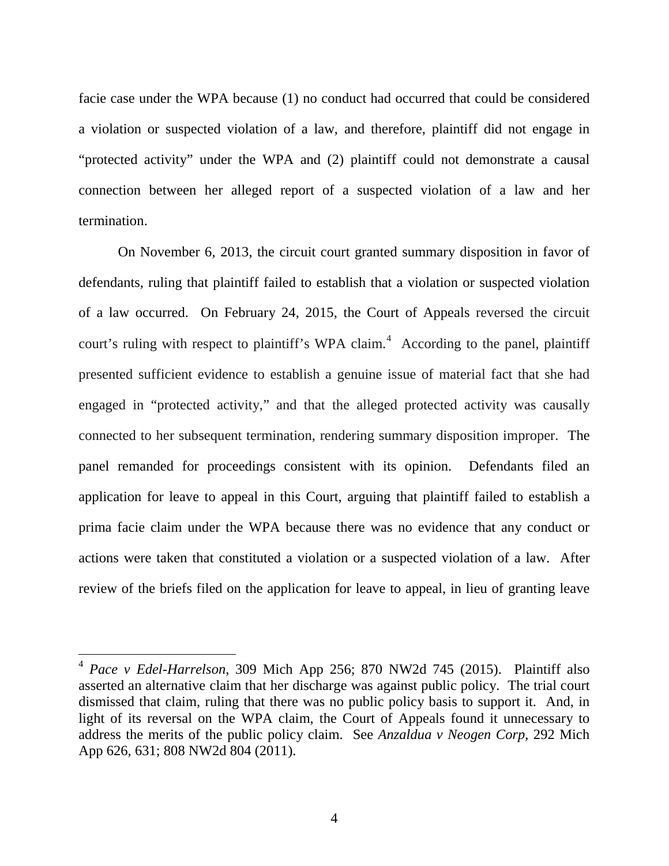facie case under the WPA because (1) no conduct had occurred that could be considered a violation or suspected violation of a law, and therefore, plaintiff did not engage in "protected activity" under the WPA and (2) plaintiff could not demonstrate a causal connection between her alleged report of a suspected violation of a law and her termination.

On November 6, 2013, the circuit court granted summary disposition in favor of defendants, ruling that plaintiff failed to establish that a violation or suspected violation of a law occurred. On February 24, 2015, the Court of Appeals reversed the circuit court's ruling with respect to plaintiff's WPA claim.<sup>[4](#page-3-0)</sup> According to the panel, plaintiff presented sufficient evidence to establish a genuine issue of material fact that she had engaged in "protected activity," and that the alleged protected activity was causally connected to her subsequent termination, rendering summary disposition improper. The panel remanded for proceedings consistent with its opinion. Defendants filed an application for leave to appeal in this Court, arguing that plaintiff failed to establish a prima facie claim under the WPA because there was no evidence that any conduct or actions were taken that constituted a violation or a suspected violation of a law. After review of the briefs filed on the application for leave to appeal, in lieu of granting leave

<span id="page-3-0"></span> <sup>4</sup> *Pace v Edel-Harrelson*, 309 Mich App 256; 870 NW2d 745 (2015). Plaintiff also asserted an alternative claim that her discharge was against public policy. The trial court dismissed that claim, ruling that there was no public policy basis to support it. And, in light of its reversal on the WPA claim, the Court of Appeals found it unnecessary to address the merits of the public policy claim. See *Anzaldua v Neogen Corp*, 292 Mich App 626, 631; 808 NW2d 804 (2011).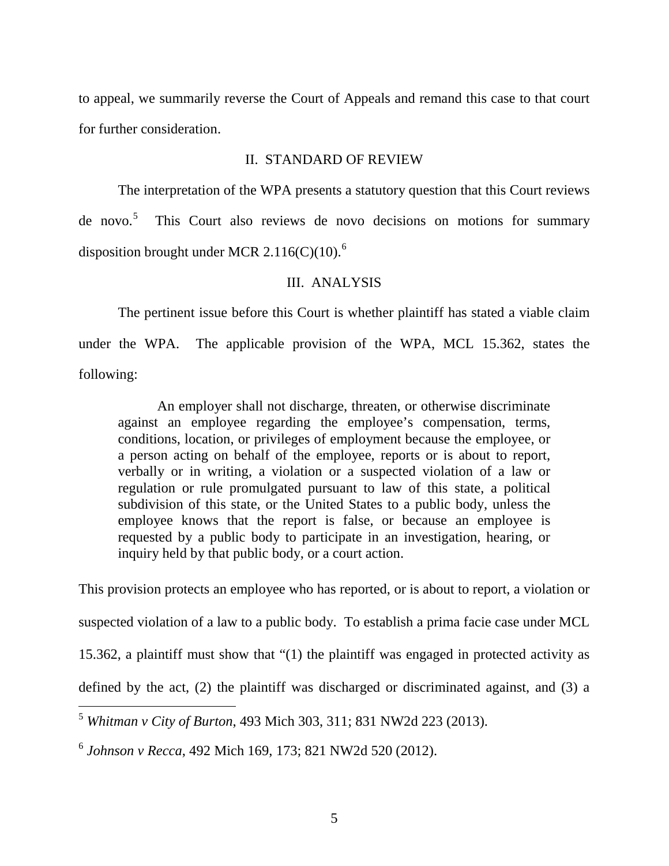to appeal, we summarily reverse the Court of Appeals and remand this case to that court for further consideration.

### II. STANDARD OF REVIEW

The interpretation of the WPA presents a statutory question that this Court reviews de novo.<sup>[5](#page-4-0)</sup> This Court also reviews de novo decisions on motions for summary disposition brought under MCR 2.11[6](#page-4-1)(C)(10).<sup>6</sup>

### III. ANALYSIS

The pertinent issue before this Court is whether plaintiff has stated a viable claim under the WPA. The applicable provision of the WPA, MCL 15.362, states the following:

An employer shall not discharge, threaten, or otherwise discriminate against an employee regarding the employee's compensation, terms, conditions, location, or privileges of employment because the employee, or a person acting on behalf of the employee, reports or is about to report, verbally or in writing, a violation or a suspected violation of a law or regulation or rule promulgated pursuant to law of this state, a political subdivision of this state, or the United States to a public body, unless the employee knows that the report is false, or because an employee is requested by a public body to participate in an investigation, hearing, or inquiry held by that public body, or a court action.

This provision protects an employee who has reported, or is about to report, a violation or suspected violation of a law to a public body. To establish a prima facie case under MCL 15.362, a plaintiff must show that "(1) the plaintiff was engaged in protected activity as defined by the act, (2) the plaintiff was discharged or discriminated against, and (3) a

<span id="page-4-0"></span>5 *Whitman v City of Burton*, 493 Mich 303, 311; 831 NW2d 223 (2013).

<span id="page-4-1"></span><sup>6</sup> *Johnson v Recca*, 492 Mich 169, 173; 821 NW2d 520 (2012).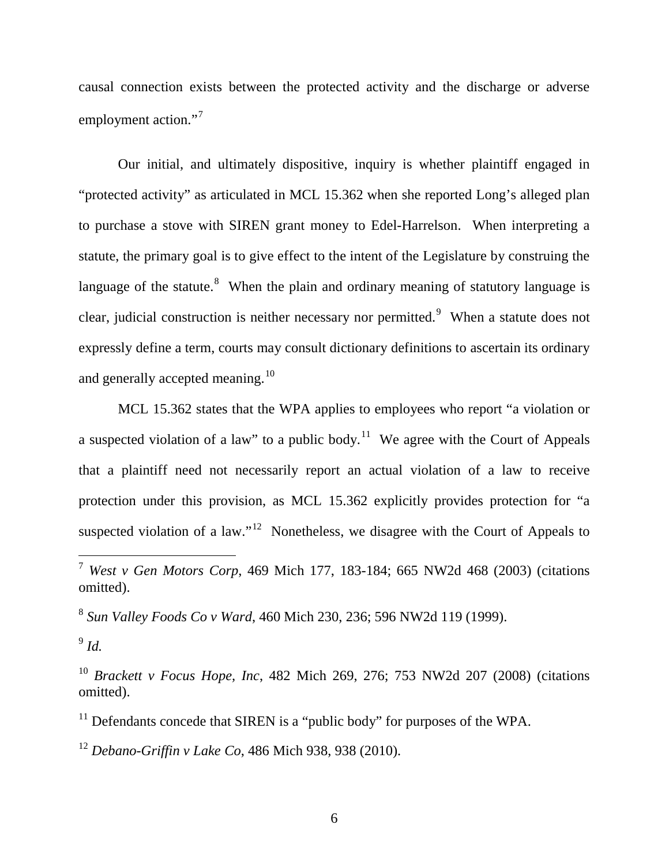causal connection exists between the protected activity and the discharge or adverse employment action."<sup>[7](#page-5-0)</sup>

Our initial, and ultimately dispositive, inquiry is whether plaintiff engaged in "protected activity" as articulated in MCL 15.362 when she reported Long's alleged plan to purchase a stove with SIREN grant money to Edel-Harrelson. When interpreting a statute, the primary goal is to give effect to the intent of the Legislature by construing the language of the statute.<sup>[8](#page-5-1)</sup> When the plain and ordinary meaning of statutory language is clear, judicial construction is neither necessary nor permitted. $9$  When a statute does not expressly define a term, courts may consult dictionary definitions to ascertain its ordinary and generally accepted meaning.<sup>[10](#page-5-3)</sup>

MCL 15.362 states that the WPA applies to employees who report "a violation or a suspected violation of a law" to a public body.<sup>[11](#page-5-4)</sup> We agree with the Court of Appeals that a plaintiff need not necessarily report an actual violation of a law to receive protection under this provision, as MCL 15.362 explicitly provides protection for "a suspected violation of a law."<sup>12</sup> Nonetheless, we disagree with the Court of Appeals to

<span id="page-5-2"></span><sup>9</sup> *Id.*

<span id="page-5-3"></span><sup>10</sup> *Brackett v Focus Hope, Inc*, 482 Mich 269, 276; 753 NW2d 207 (2008) (citations omitted).

<span id="page-5-4"></span> $11$  Defendants concede that SIREN is a "public body" for purposes of the WPA.

<span id="page-5-5"></span><sup>12</sup> *Debano-Griffin v Lake Co*, 486 Mich 938, 938 (2010).

<span id="page-5-0"></span> <sup>7</sup> *West v Gen Motors Corp*, 469 Mich 177, 183-184; 665 NW2d 468 (2003) (citations omitted).

<span id="page-5-1"></span><sup>8</sup> *Sun Valley Foods Co v Ward*, 460 Mich 230, 236; 596 NW2d 119 (1999).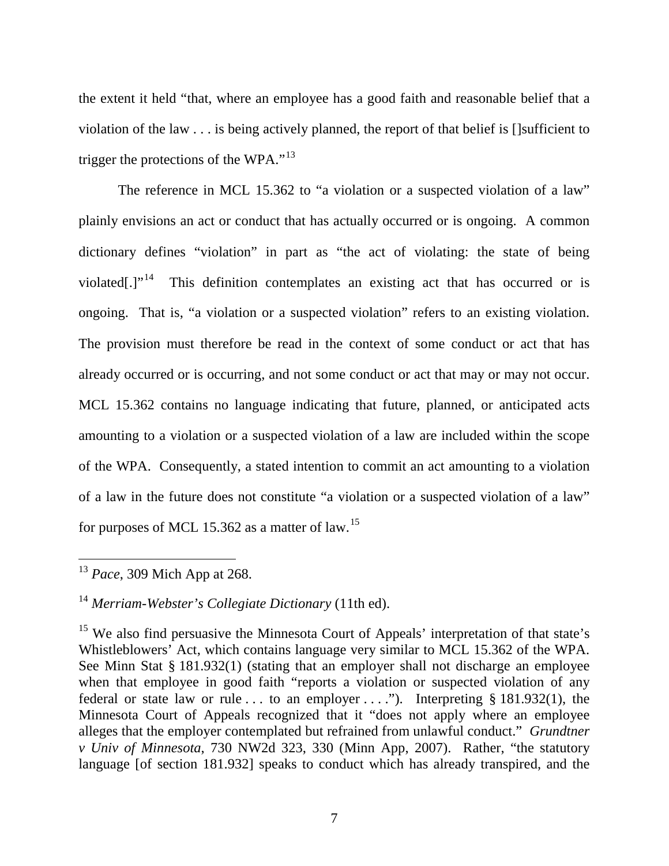the extent it held "that, where an employee has a good faith and reasonable belief that a violation of the law . . . is being actively planned, the report of that belief is []sufficient to trigger the protections of the WPA."<sup>[13](#page-6-0)</sup>

The reference in MCL 15.362 to "a violation or a suspected violation of a law" plainly envisions an act or conduct that has actually occurred or is ongoing. A common dictionary defines "violation" in part as "the act of violating: the state of being violated[.] $"^{14}$  This definition contemplates an existing act that has occurred or is ongoing. That is, "a violation or a suspected violation" refers to an existing violation. The provision must therefore be read in the context of some conduct or act that has already occurred or is occurring, and not some conduct or act that may or may not occur. MCL 15.362 contains no language indicating that future, planned, or anticipated acts amounting to a violation or a suspected violation of a law are included within the scope of the WPA. Consequently, a stated intention to commit an act amounting to a violation of a law in the future does not constitute "a violation or a suspected violation of a law" for purposes of MCL [15](#page-6-2).362 as a matter of law.<sup>15</sup>

<span id="page-6-0"></span>13 *Pace*, 309 Mich App at 268.

<span id="page-6-1"></span><sup>14</sup> *Merriam-Webster's Collegiate Dictionary* (11th ed).

<span id="page-6-2"></span><sup>15</sup> We also find persuasive the Minnesota Court of Appeals' interpretation of that state's Whistleblowers' Act, which contains language very similar to MCL 15.362 of the WPA. See Minn Stat § 181.932(1) (stating that an employer shall not discharge an employee when that employee in good faith "reports a violation or suspected violation of any federal or state law or rule ... to an employer ...."). Interpreting  $\S 181.932(1)$ , the Minnesota Court of Appeals recognized that it "does not apply where an employee alleges that the employer contemplated but refrained from unlawful conduct." *Grundtner v Univ of Minnesota*, 730 NW2d 323, 330 (Minn App, 2007). Rather, "the statutory language [of section 181.932] speaks to conduct which has already transpired, and the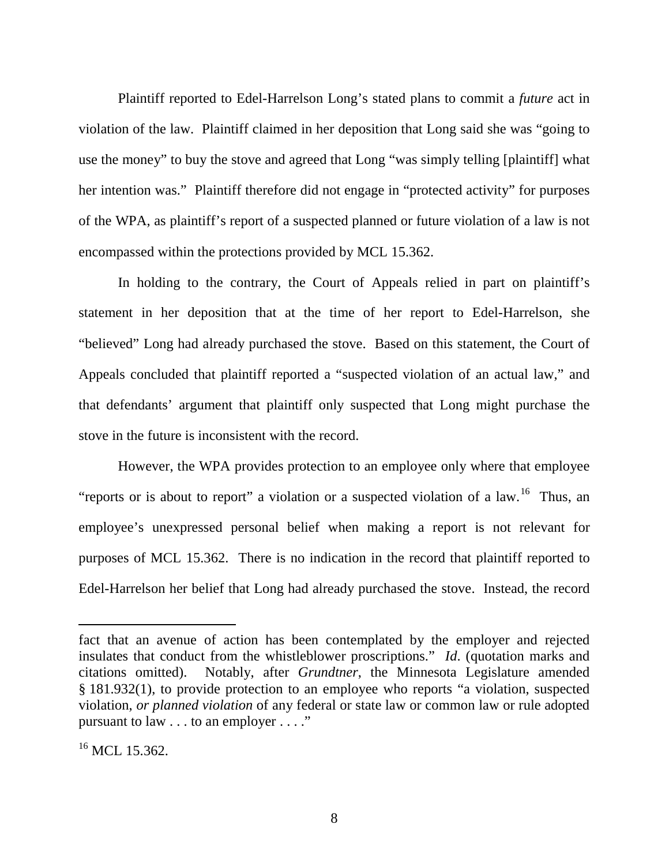Plaintiff reported to Edel-Harrelson Long's stated plans to commit a *future* act in violation of the law. Plaintiff claimed in her deposition that Long said she was "going to use the money" to buy the stove and agreed that Long "was simply telling [plaintiff] what her intention was." Plaintiff therefore did not engage in "protected activity" for purposes of the WPA, as plaintiff's report of a suspected planned or future violation of a law is not encompassed within the protections provided by MCL 15.362.

In holding to the contrary, the Court of Appeals relied in part on plaintiff's statement in her deposition that at the time of her report to Edel-Harrelson, she "believed" Long had already purchased the stove. Based on this statement, the Court of Appeals concluded that plaintiff reported a "suspected violation of an actual law," and that defendants' argument that plaintiff only suspected that Long might purchase the stove in the future is inconsistent with the record.

However, the WPA provides protection to an employee only where that employee "reports or is about to report" a violation or a suspected violation of a law.<sup>[16](#page-7-0)</sup> Thus, an employee's unexpressed personal belief when making a report is not relevant for purposes of MCL 15.362. There is no indication in the record that plaintiff reported to Edel-Harrelson her belief that Long had already purchased the stove. Instead, the record

 $\overline{a}$ 

fact that an avenue of action has been contemplated by the employer and rejected insulates that conduct from the whistleblower proscriptions." *Id*. (quotation marks and citations omitted). Notably, after *Grundtner*, the Minnesota Legislature amended § 181.932(1), to provide protection to an employee who reports "a violation, suspected violation, *or planned violation* of any federal or state law or common law or rule adopted pursuant to law . . . to an employer . . . ."

<span id="page-7-0"></span> $^{16}$  MCL 15.362.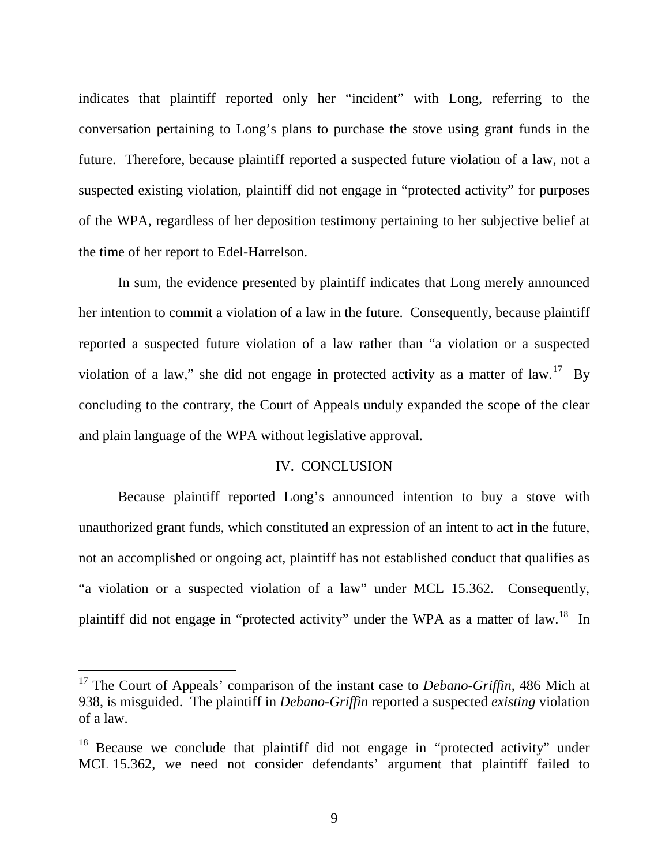indicates that plaintiff reported only her "incident" with Long, referring to the conversation pertaining to Long's plans to purchase the stove using grant funds in the future. Therefore, because plaintiff reported a suspected future violation of a law, not a suspected existing violation, plaintiff did not engage in "protected activity" for purposes of the WPA, regardless of her deposition testimony pertaining to her subjective belief at the time of her report to Edel-Harrelson.

In sum, the evidence presented by plaintiff indicates that Long merely announced her intention to commit a violation of a law in the future. Consequently, because plaintiff reported a suspected future violation of a law rather than "a violation or a suspected violation of a law," she did not engage in protected activity as a matter of law.<sup>17</sup> By concluding to the contrary, the Court of Appeals unduly expanded the scope of the clear and plain language of the WPA without legislative approval.

### IV. CONCLUSION

Because plaintiff reported Long's announced intention to buy a stove with unauthorized grant funds, which constituted an expression of an intent to act in the future, not an accomplished or ongoing act, plaintiff has not established conduct that qualifies as "a violation or a suspected violation of a law" under MCL 15.362. Consequently, plaintiff did not engage in "protected activity" under the WPA as a matter of law.<sup>[18](#page-8-1)</sup> In

<span id="page-8-0"></span><sup>&</sup>lt;sup>17</sup> The Court of Appeals' comparison of the instant case to *Debano-Griffin*, 486 Mich at 938, is misguided. The plaintiff in *Debano-Griffin* reported a suspected *existing* violation of a law.

<span id="page-8-1"></span> $18$  Because we conclude that plaintiff did not engage in "protected activity" under MCL 15.362, we need not consider defendants' argument that plaintiff failed to